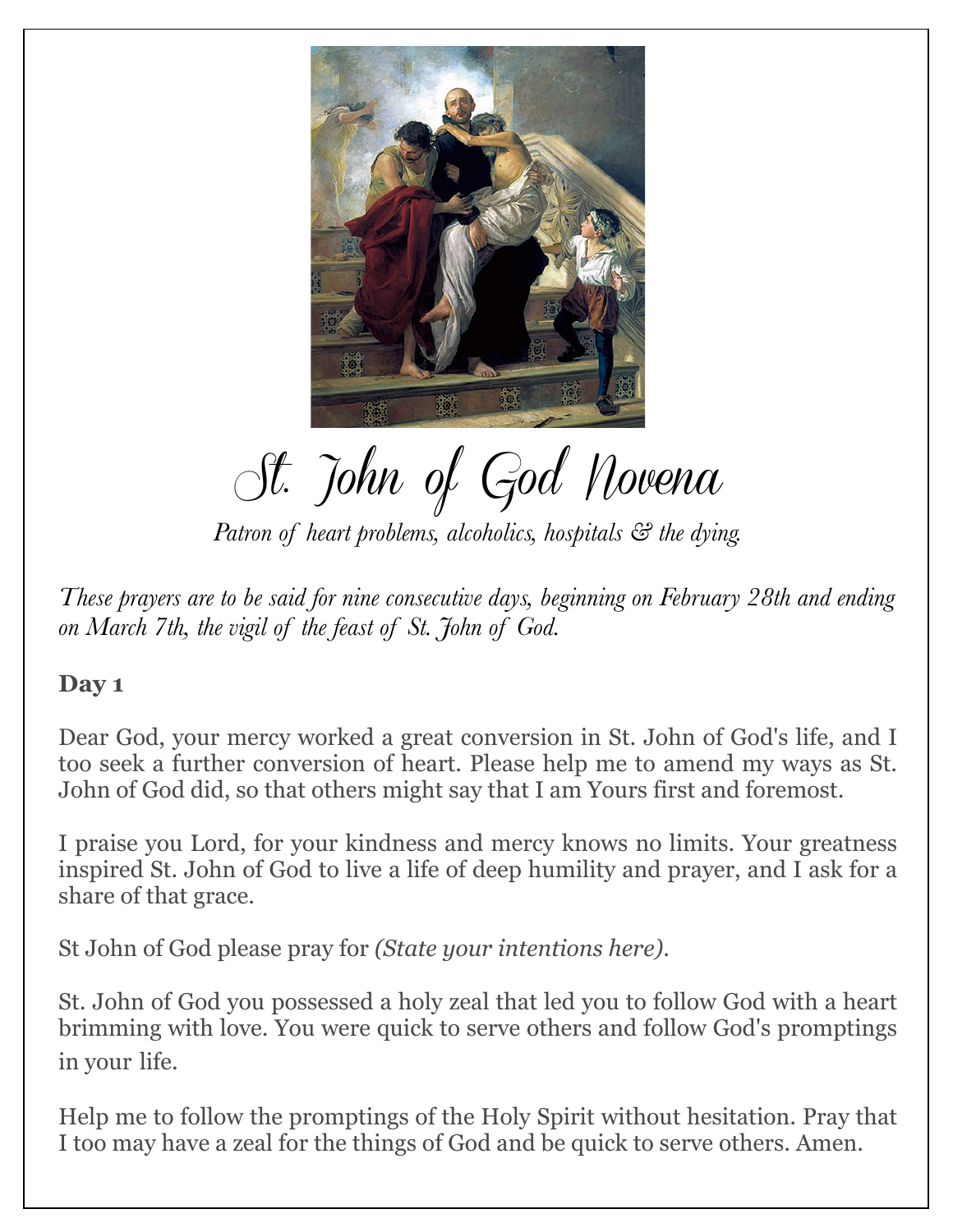

St. John of God Novena

*Patron of heart problems, alcoholics, hospitals & the dying.*

*These prayers are to be said for nine consecutive days, beginning on February 28th and ending on March 7th, the vigil of the feast of St. John of God.* 

#### **Day 1**

Dear God, your mercy worked a great conversion in St. John of God's life, and I too seek a further conversion of heart. Please help me to amend my ways as St. John of God did, so that others might say that I am Yours first and foremost.

I praise you Lord, for your kindness and mercy knows no limits. Your greatness inspired St. John of God to live a life of deep humility and prayer, and I ask for a share of that grace.

St John of God please pray for *(State your intentions here)*.

St. John of God you possessed a holy zeal that led you to follow God with a heart brimming with love. You were quick to serve others and follow God's promptings in your life.

Help me to follow the promptings of the Holy Spirit without hesitation. Pray that I too may have a zeal for the things of God and be quick to serve others. Amen.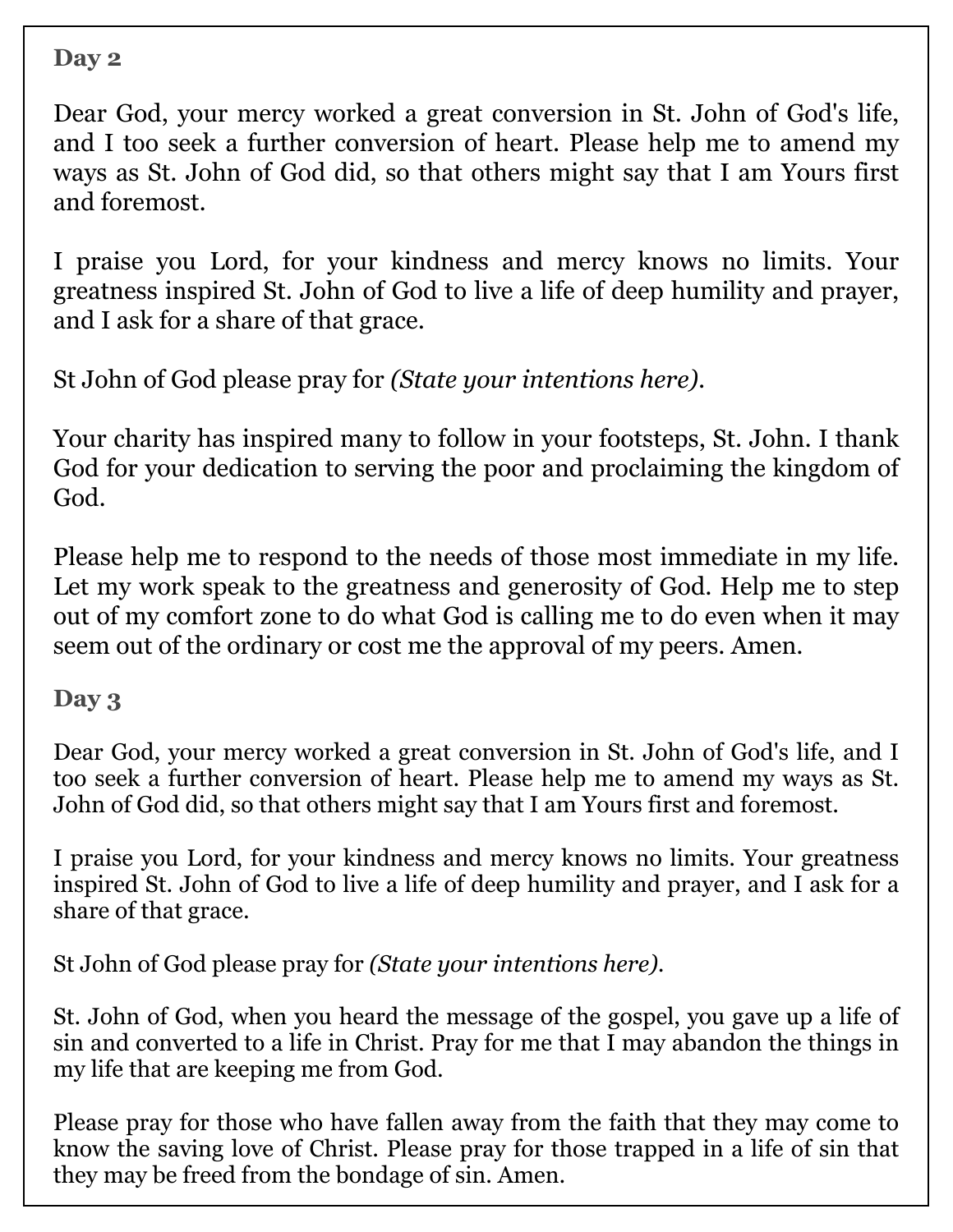Dear God, your mercy worked a great conversion in St. John of God's life, and I too seek a further conversion of heart. Please help me to amend my ways as St. John of God did, so that others might say that I am Yours first and foremost.

I praise you Lord, for your kindness and mercy knows no limits. Your greatness inspired St. John of God to live a life of deep humility and prayer, and I ask for a share of that grace.

St John of God please pray for *(State your intentions here)*.

Your charity has inspired many to follow in your footsteps, St. John. I thank God for your dedication to serving the poor and proclaiming the kingdom of God.

Please help me to respond to the needs of those most immediate in my life. Let my work speak to the greatness and generosity of God. Help me to step out of my comfort zone to do what God is calling me to do even when it may seem out of the ordinary or cost me the approval of my peers. Amen.

#### **Day 3**

Dear God, your mercy worked a great conversion in St. John of God's life, and I too seek a further conversion of heart. Please help me to amend my ways as St. John of God did, so that others might say that I am Yours first and foremost.

I praise you Lord, for your kindness and mercy knows no limits. Your greatness inspired St. John of God to live a life of deep humility and prayer, and I ask for a share of that grace.

St John of God please pray for *(State your intentions here)*.

St. John of God, when you heard the message of the gospel, you gave up a life of sin and converted to a life in Christ. Pray for me that I may abandon the things in my life that are keeping me from God.

Please pray for those who have fallen away from the faith that they may come to know the saving love of Christ. Please pray for those trapped in a life of sin that they may be freed from the bondage of sin. Amen.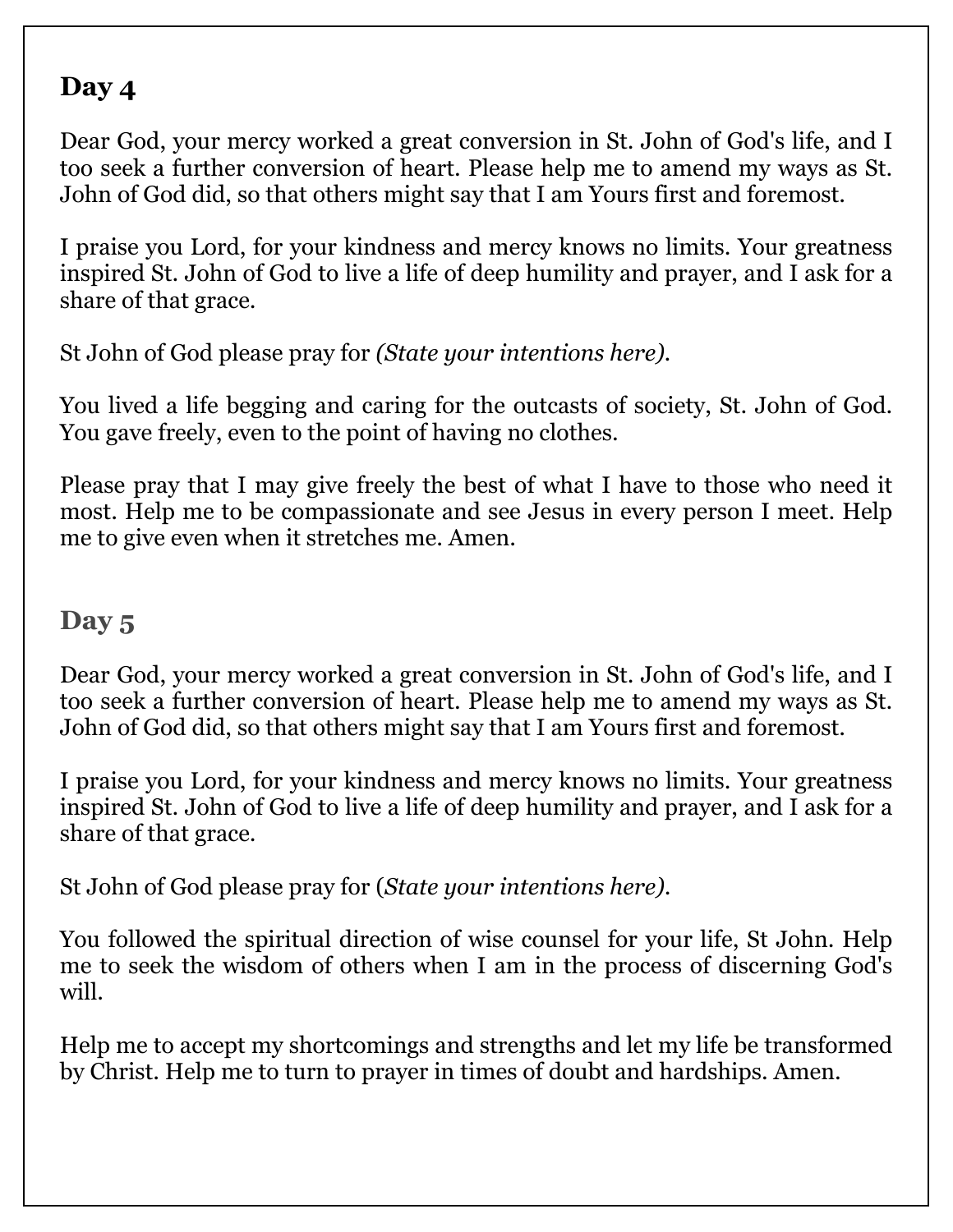Dear God, your mercy worked a great conversion in St. John of God's life, and I too seek a further conversion of heart. Please help me to amend my ways as St. John of God did, so that others might say that I am Yours first and foremost.

I praise you Lord, for your kindness and mercy knows no limits. Your greatness inspired St. John of God to live a life of deep humility and prayer, and I ask for a share of that grace.

St John of God please pray for *(State your intentions here).* 

You lived a life begging and caring for the outcasts of society, St. John of God. You gave freely, even to the point of having no clothes.

Please pray that I may give freely the best of what I have to those who need it most. Help me to be compassionate and see Jesus in every person I meet. Help me to give even when it stretches me. Amen.

# **Day 5**

Dear God, your mercy worked a great conversion in St. John of God's life, and I too seek a further conversion of heart. Please help me to amend my ways as St. John of God did, so that others might say that I am Yours first and foremost.

I praise you Lord, for your kindness and mercy knows no limits. Your greatness inspired St. John of God to live a life of deep humility and prayer, and I ask for a share of that grace.

St John of God please pray for (*State your intentions here)*.

You followed the spiritual direction of wise counsel for your life, St John. Help me to seek the wisdom of others when I am in the process of discerning God's will.

Help me to accept my shortcomings and strengths and let my life be transformed by Christ. Help me to turn to prayer in times of doubt and hardships. Amen.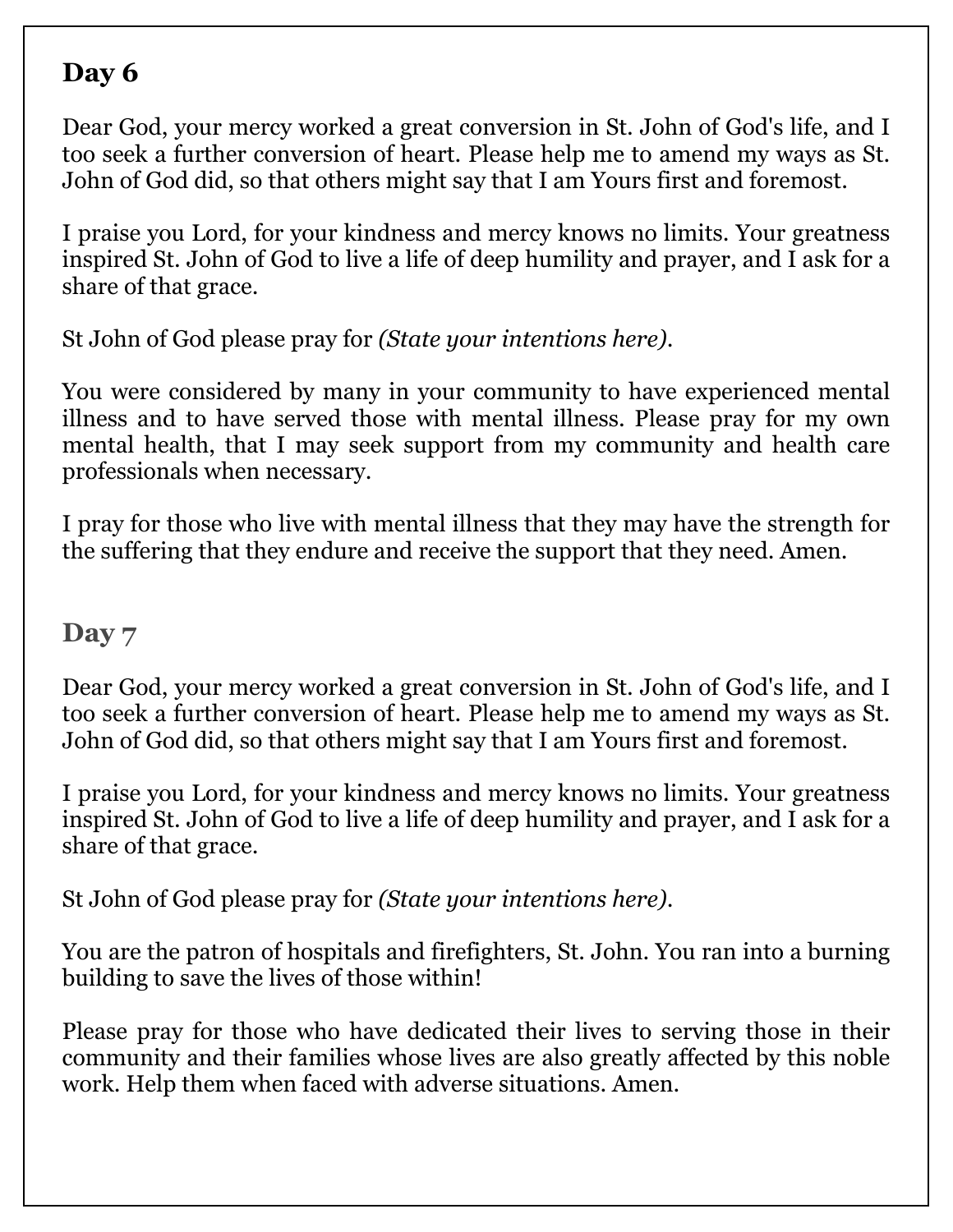Dear God, your mercy worked a great conversion in St. John of God's life, and I too seek a further conversion of heart. Please help me to amend my ways as St. John of God did, so that others might say that I am Yours first and foremost.

I praise you Lord, for your kindness and mercy knows no limits. Your greatness inspired St. John of God to live a life of deep humility and prayer, and I ask for a share of that grace.

St John of God please pray for *(State your intentions here)*.

You were considered by many in your community to have experienced mental illness and to have served those with mental illness. Please pray for my own mental health, that I may seek support from my community and health care professionals when necessary.

I pray for those who live with mental illness that they may have the strength for the suffering that they endure and receive the support that they need. Amen.

#### **Day 7**

Dear God, your mercy worked a great conversion in St. John of God's life, and I too seek a further conversion of heart. Please help me to amend my ways as St. John of God did, so that others might say that I am Yours first and foremost.

I praise you Lord, for your kindness and mercy knows no limits. Your greatness inspired St. John of God to live a life of deep humility and prayer, and I ask for a share of that grace.

St John of God please pray for *(State your intentions here)*.

You are the patron of hospitals and firefighters, St. John. You ran into a burning building to save the lives of those within!

Please pray for those who have dedicated their lives to serving those in their community and their families whose lives are also greatly affected by this noble work. Help them when faced with adverse situations. Amen.